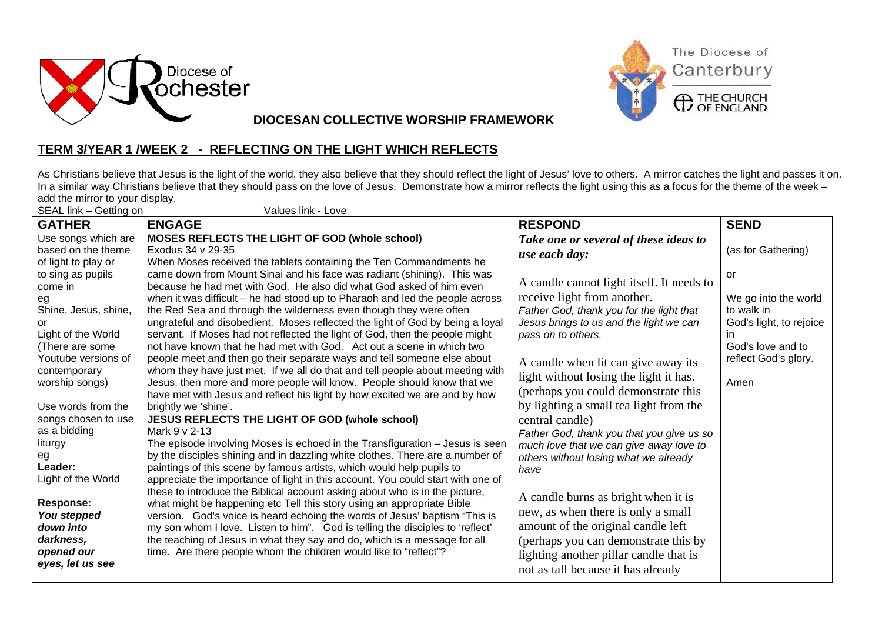



**DIOCESAN COLLECTIVE WORSHIP FRAMEWORK**

## **TERM 3/YEAR 1 /WEEK 2 - REFLECTING ON THE LIGHT WHICH REFLECTS**

As Christians believe that Jesus is the light of the world, they also believe that they should reflect the light of Jesus' love to others. A mirror catches the light and passes it on. In a similar way Christians believe that they should pass on the love of Jesus. Demonstrate how a mirror reflects the light using this as a focus for the theme of the week – add the mirror to your display.  $N$ olues link – Love

| SEAL IINK - Getting on<br>Values IIN - LOVE |                                                                                 |                                           |                         |
|---------------------------------------------|---------------------------------------------------------------------------------|-------------------------------------------|-------------------------|
| <b>GATHER</b>                               | <b>ENGAGE</b>                                                                   | <b>RESPOND</b>                            | <b>SEND</b>             |
| Use songs which are                         | MOSES REFLECTS THE LIGHT OF GOD (whole school)                                  | Take one or several of these ideas to     |                         |
| based on the theme                          | Exodus 34 v 29-35                                                               | use each day:                             | (as for Gathering)      |
| of light to play or                         | When Moses received the tablets containing the Ten Commandments he              |                                           |                         |
| to sing as pupils                           | came down from Mount Sinai and his face was radiant (shining). This was         |                                           | or                      |
| come in                                     | because he had met with God. He also did what God asked of him even             | A candle cannot light itself. It needs to |                         |
| eg                                          | when it was difficult – he had stood up to Pharaoh and led the people across    | receive light from another.               | We go into the world    |
| Shine, Jesus, shine,                        | the Red Sea and through the wilderness even though they were often              | Father God, thank you for the light that  | to walk in              |
| or                                          | ungrateful and disobedient. Moses reflected the light of God by being a loyal   | Jesus brings to us and the light we can   | God's light, to rejoice |
| Light of the World                          | servant. If Moses had not reflected the light of God, then the people might     | pass on to others.                        | ın                      |
| (There are some                             | not have known that he had met with God. Act out a scene in which two           |                                           | God's love and to       |
| Youtube versions of                         | people meet and then go their separate ways and tell someone else about         | A candle when lit can give away its       | reflect God's glory.    |
| contemporary                                | whom they have just met. If we all do that and tell people about meeting with   | light without losing the light it has.    |                         |
| worship songs)                              | Jesus, then more and more people will know. People should know that we          |                                           | Amen                    |
|                                             | have met with Jesus and reflect his light by how excited we are and by how      | (perhaps you could demonstrate this)      |                         |
| Use words from the                          | brightly we 'shine'.                                                            | by lighting a small tea light from the    |                         |
| songs chosen to use                         | JESUS REFLECTS THE LIGHT OF GOD (whole school)                                  | central candle)                           |                         |
| as a bidding                                | Mark 9 v 2-13                                                                   | Father God, thank you that you give us so |                         |
| liturgy                                     | The episode involving Moses is echoed in the Transfiguration - Jesus is seen    | much love that we can give away love to   |                         |
| eg                                          | by the disciples shining and in dazzling white clothes. There are a number of   | others without losing what we already     |                         |
| Leader:                                     | paintings of this scene by famous artists, which would help pupils to           | have                                      |                         |
| Light of the World                          | appreciate the importance of light in this account. You could start with one of |                                           |                         |
|                                             | these to introduce the Biblical account asking about who is in the picture,     | A candle burns as bright when it is       |                         |
| <b>Response:</b>                            | what might be happening etc Tell this story using an appropriate Bible          | new, as when there is only a small        |                         |
| You stepped                                 | version. God's voice is heard echoing the words of Jesus' baptism "This is      |                                           |                         |
| down into                                   | my son whom I love. Listen to him". God is telling the disciples to 'reflect'   | amount of the original candle left        |                         |
| darkness,                                   | the teaching of Jesus in what they say and do, which is a message for all       | (perhaps you can demonstrate this by      |                         |
| opened our                                  | time. Are there people whom the children would like to "reflect"?               | lighting another pillar candle that is    |                         |
| eyes, let us see                            |                                                                                 | not as tall because it has already        |                         |
|                                             |                                                                                 |                                           |                         |